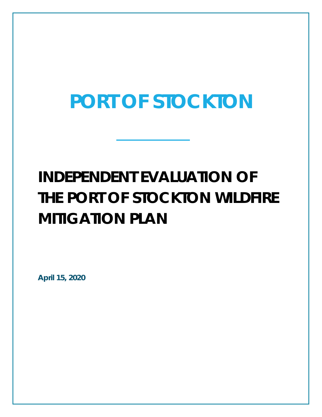# **PORT OF STOCKTON**

## **INDEPENDENT EVALUATION OF THE PORT OF STOCKTON WILDFIRE MITIGATION PLAN**

**April 15, 2020**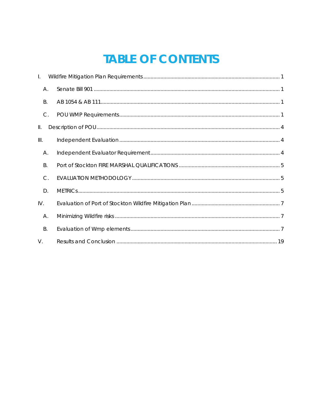### **TABLE OF CONTENTS**

| $\mathbf{L}$  |  |
|---------------|--|
| Α.            |  |
| <b>B.</b>     |  |
| $\mathsf{C}.$ |  |
| Ш.            |  |
| III.          |  |
| А.            |  |
| <b>B.</b>     |  |
| $C$ .         |  |
| D.            |  |
| IV.           |  |
| Α.            |  |
| В.            |  |
| $V_{\cdot}$   |  |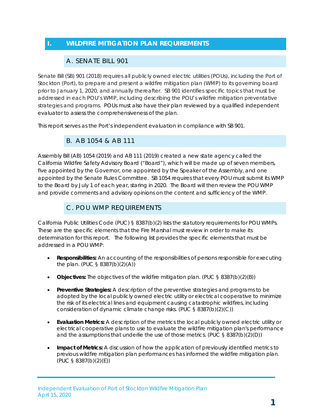#### <span id="page-2-1"></span><span id="page-2-0"></span>**I. WILDFIRE MITIGATION PLAN REQUIREMENTS**

#### A. SENATE BILL 901

Senate Bill (SB) 901 (2018) requires all publicly owned electric utilities (POUs), including the Port of Stockton (Port), to prepare and present a wildfire mitigation plan (WMP) to its governing board prior to January 1, 2020, and annually thereafter. SB 901 identifies specific topics that must be addressed in each POU's WMP, including describing the POU's wildfire mitigation preventative strategies and programs. POUs must also have their plan reviewed by a qualified independent evaluator to assess the comprehensiveness of the plan.

<span id="page-2-2"></span>This report serves as the Port's independent evaluation in compliance with SB 901.

#### B. AB 1054 & AB 111

Assembly Bill (AB) 1054 (2019) and AB 111 (2019) created a new state agency called the California Wildfire Safety Advisory Board ("Board"), which will be made up of seven members, five appointed by the Governor, one appointed by the Speaker of the Assembly, and one appointed by the Senate Rules Committee. SB 1054 requires that every POU must submit its WMP to the Board by July 1 of each year, staring in 2020. The Board will then review the POU WMP and provide comments and advisory opinions on the content and sufficiency of the WMP.

#### C. POU WMP REQUIREMENTS

<span id="page-2-3"></span>California Public Utilities Code (PUC) § 8387(b)(2) lists the statutory requirements for POU WMPs. These are the specific elements that the Fire Marshal must review in order to make its determination for this report. The following list provides the specific elements that must be addressed in a POU WMP:

- **Responsibilities:** An accounting of the responsibilities of persons responsible for executing the plan. (PUC § 8387(b)(2)(A))
- **Objectives:** The objectives of the wildfire mitigation plan. (PUC § 8387(b)(2)(B))
- **Preventive Strategies:** A description of the preventive strategies and programs to be adopted by the local publicly owned electric utility or electrical cooperative to minimize the risk of its electrical lines and equipment causing catastrophic wildfires, including consideration of dynamic climate change risks. (PUC § 8387(b)(2)(C))
- **Evaluation Metrics:** A description of the metrics the local publicly owned electric utility or electrical cooperative plans to use to evaluate the wildfire mitigation plan's performance and the assumptions that underlie the use of those metrics. (PUC § 8387(b)(2)(D))
- **Impact of Metrics:** A discussion of how the application of previously identified metrics to previous wildfire mitigation plan performances has informed the wildfire mitigation plan. (PUC § 8387(b)(2)(E))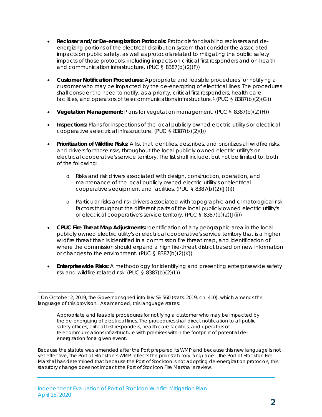- **Recloser and/or De-energization Protocols:** Protocols for disabling reclosers and deenergizing portions of the electrical distribution system that consider the associated impacts on public safety, as well as protocols related to mitigating the public safety impacts of those protocols, including impacts on critical first responders and on health and communication infrastructure. (PUC § 8387(b)(2)(F))
- **Customer Notification Procedures:** Appropriate and feasible procedures for notifying a customer who may be impacted by the de-energizing of electrical lines. The procedures shall consider the need to notify, as a priority, critical first responders, health care facilities, and operators of telecommunications infrastructure.<sup>[1](#page-3-0)</sup> (PUC § 8387(b)(2)(G))
- **Vegetation Management:** Plans for vegetation management. (PUC § 8387(b)(2)(H))
- **Inspections:** Plans for inspections of the local publicly owned electric utility's or electrical cooperative's electrical infrastructure. (PUC § 8387(b)(2)(I))
- **Prioritization of Wildfire Risks:** A list that identifies, describes, and prioritizes all wildfire risks, and drivers for those risks, throughout the local publicly owned electric utility's or electrical cooperative's service territory. The list shall include, but not be limited to, both of the following:
	- o Risks and risk drivers associated with design, construction, operation, and maintenance of the local publicly owned electric utility's or electrical cooperative's equipment and facilities. (PUC § 8387(b)(2)(J)(i))
	- o Particular risks and risk drivers associated with topographic and climatological risk factors throughout the different parts of the local publicly owned electric utility's or electrical cooperative's service territory. (PUC § 8387(b)(2)(J(ii))
- **CPUC Fire Threat Map Adjustments:** Identification of any geographic area in the local publicly owned electric utility's or electrical cooperative's service territory that is a higher wildfire threat than is identified in a commission fire threat map, and identification of where the commission should expand a high fire-threat district based on new information or changes to the environment. (PUC § 8387(b)(2)(K))
- **Enterprisewide Risks:** A methodology for identifying and presenting enterprisewide safety risk and wildfire-related risk. (PUC § 8387(b)(2)(L))

<span id="page-3-0"></span> <sup>1</sup> On October 2, 2019, the Governor signed into law SB 560 (stats. 2019, ch. 410), which amends the language of this provision. As amended, this language states:

Appropriate and feasible procedures for notifying a customer who may be impacted by the de-energizing of electrical lines. The procedures shall direct notification to all public safety offices, critical first responders, health care facilities, and operators of telecommunications infrastructure with premises within the footprint of potential deenergization for a given event.

Because the statute was amended after the Port prepared its WMP and because this new language is not yet effective, the Port of Stockton's WMP reflects the prior statutory language. The Port of Stockton Fire Marshal has determined that because the Port of Stockton is not adopting de-energization protocols, this statutory change does not impact the Port of Stockton Fire Marshal's review.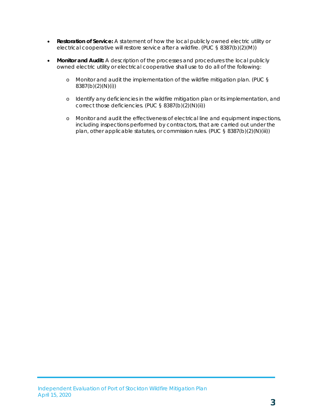- **Restoration of Service:** A statement of how the local publicly owned electric utility or electrical cooperative will restore service after a wildfire. (PUC § 8387(b)(2)(M))
- **Monitor and Audit:** A description of the processes and procedures the local publicly owned electric utility or electrical cooperative shall use to do all of the following:
	- o Monitor and audit the implementation of the wildfire mitigation plan. (PUC § 8387(b)(2)(N)(i))
	- o Identify any deficiencies in the wildfire mitigation plan or its implementation, and correct those deficiencies. (PUC § 8387(b)(2)(N)(ii))
	- o Monitor and audit the effectiveness of electrical line and equipment inspections, including inspections performed by contractors, that are carried out under the plan, other applicable statutes, or commission rules. (PUC § 8387(b)(2)(N)(iii))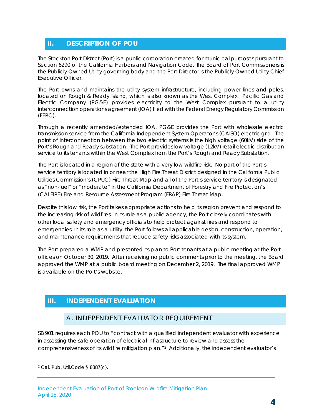#### <span id="page-5-0"></span>**II. DESCRIPTION OF POU**

The Stockton Port District (Port) is a public corporation created for municipal purposes pursuant to Section 6290 of the California Harbors and Navigation Code. The Board of Port Commissioners is the Publicly Owned Utility governing body and the Port Director is the Publicly Owned Utility Chief Executive Officer.

The Port owns and maintains the utility system infrastructure, including power lines and poles, located on Rough & Ready Island, which is also known as the West Complex. Pacific Gas and Electric Company (PG&E) provides electricity to the West Complex pursuant to a utility interconnection operations agreement (IOA) filed with the Federal Energy Regulatory Commission (FERC).

Through a recently amended/extended IOA, PG&E provides the Port with wholesale electric transmission service from the California Independent System Operator's (CAISO) electric grid. The point of interconnection between the two electric systems is the high voltage (60kV) side of the Port's Rough and Ready substation. The Port provides low voltage (12kV) retail electric distribution service to its tenants within the West Complex from the Port's Rough and Ready Substation.

The Port is located in a region of the state with a very low wildfire risk. No part of the Port's service territory is located in or near the High Fire Threat District designed in the California Public Utilities Commission's (CPUC) Fire Threat Map and all of the Port's service territory is designated as "non-fuel" or "moderate" in the California Department of Forestry and Fire Protection's (CALFIRE) Fire and Resource Assessment Program (FRAP) Fire Threat Map.

Despite this low risk, the Port takes appropriate actions to help its region prevent and respond to the increasing risk of wildfires. In its role as a public agency, the Port closely coordinates with other local safety and emergency officials to help protect against fires and respond to emergencies. In its role as a utility, the Port follows all applicable design, construction, operation, and maintenance requirements that reduce safety risks associated with its system.

The Port prepared a WMP and presented its plan to Port tenants at a public meeting at the Port offices on October 30, 2019. After receiving no public comments prior to the meeting, the Board approved the WMP at a public board meeting on December 2, 2019. The final approved WMP is available on the Port's website.

#### <span id="page-5-2"></span><span id="page-5-1"></span>**III. INDEPENDENT EVALUATION**

#### A. INDEPENDENT EVALUATOR REQUIREMENT

SB 901 requires each POU to "contract with a qualified independent evaluator with experience in assessing the safe operation of electrical infrastructure to review and assess the comprehensiveness of its wildfire mitigation plan."[2](#page-5-3) Additionally, the independent evaluator's

<span id="page-5-3"></span> <sup>2</sup> Cal. Pub. Util.Code § 8387(c).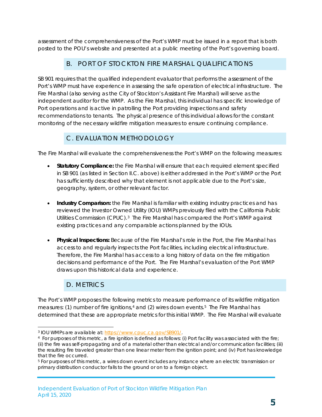assessment of the comprehensiveness of the Port's WMP must be issued in a report that is both posted to the POU's website and presented at a public meeting of the Port's governing board.

#### <span id="page-6-0"></span>B. PORT OF STOCKTON FIRE MARSHAL QUALIFICATIONS

SB 901 requires that the qualified independent evaluator that performs the assessment of the Port's WMP must have experience in assessing the safe operation of electrical infrastructure. The Fire Marshal (also serving as the City of Stockton's Assistant Fire Marshal) will serve as the independent auditor for the WMP. As the Fire Marshal, this individual has specific knowledge of Port operations and is active in patrolling the Port providing inspections and safety recommendations to tenants. The physical presence of this individual allows for the constant monitoring of the necessary wildfire mitigation measures to ensure continuing compliance.

#### C. EVALUATION METHODOLOGY

<span id="page-6-1"></span>The Fire Marshal will evaluate the comprehensiveness the Port's WMP on the following measures:

- **Statutory Compliance:** the Fire Marshal will ensure that each required element specified in SB 901 (as listed in Section II.C. above) is either addressed in the Port's WMP or the Port has sufficiently described why that element is not applicable due to the Port's size, geography, system, or other relevant factor.
- **Industry Comparison:** the Fire Marshal is familiar with existing industry practices and has reviewed the Investor Owned Utility (IOU) WMPs previously filed with the California Public Utilities Commission (CPUC).[3](#page-6-3) The Fire Marshal has compared the Port's WMP against existing practices and any comparable actions planned by the IOUs.
- **Physical Inspections:** Because of the Fire Marshal's role in the Port, the Fire Marshal has access to and regularly inspects the Port facilities, including electrical infrastructure. Therefore, the Fire Marshal has access to a long history of data on the fire mitigation decisions and performance of the Port. The Fire Marshal's evaluation of the Port WMP draws upon this historical data and experience.

### D. METRICS

<span id="page-6-2"></span>The Port's WMP proposes the following metrics to measure performance of its wildfire mitigation measures: (1) number of fire ignitions,<sup>[4](#page-6-4)</sup> and (2) wires down events.<sup>[5](#page-6-5)</sup> The Fire Marshal has determined that these are appropriate metrics for this initial WMP. The Fire Marshal will evaluate

<span id="page-6-4"></span><span id="page-6-3"></span><sup>&</sup>lt;sup>3</sup> IOU WMPs are available at: [https://www.cpuc.ca.gov/SB901/.](https://www.cpuc.ca.gov/SB901/)<br><sup>4</sup> For purposes of this metric, a fire ignition is defined as follows: (i) Port facility was associated with the fire; (ii) the fire was self-propagating and of a material other than electrical and/or communication facilities; (iii) the resulting fire traveled greater than one linear meter from the ignition point; and (iv) Port has knowledge that the fire occurred.

<span id="page-6-5"></span><sup>5</sup> For purposes of this metric, a wires down event includes any instance where an electric transmission or primary distribution conductor falls to the ground or on to a foreign object.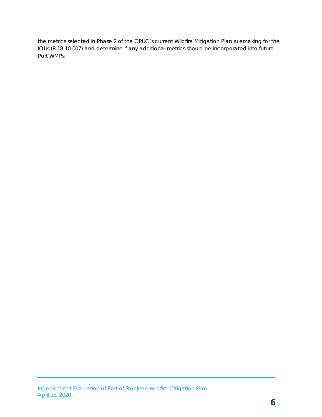the metrics selected in Phase 2 of the CPUC's current Wildfire Mitigation Plan rulemaking for the IOUs (R.18-10-007) and determine if any additional metrics should be incorporated into future Port WMPs.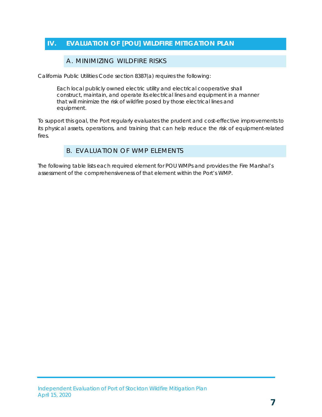### <span id="page-8-1"></span><span id="page-8-0"></span>**IV. EVALUATION OF [POU] WILDFIRE MITIGATION PLAN**

#### A. MINIMIZING WILDFIRE RISKS

California Public Utilities Code section 8387(a) requires the following:

Each local publicly owned electric utility and electrical cooperative shall construct, maintain, and operate its electrical lines and equipment in a manner that will minimize the risk of wildfire posed by those electrical lines and equipment.

<span id="page-8-2"></span>To support this goal, the Port regularly evaluates the prudent and cost-effective improvements to its physical assets, operations, and training that can help reduce the risk of equipment-related fires.

#### B. EVALUATION OF WMP ELEMENTS

The following table lists each required element for POU WMPs and provides the Fire Marshal's assessment of the comprehensiveness of that element within the Port's WMP.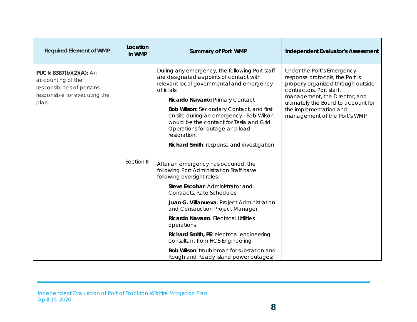| <b>Required Element of WMP</b>                                                                                        | Location<br>in WMP | <b>Summary of Port WMP</b>                                                                                                                                                                                                                                                                                                                                                                                                                                                                                                                                                                                                                                                                                                                                                                                                                                                                                                           | <b>Independent Evaluator's Assessment</b>                                                                                                                                                                                                                         |
|-----------------------------------------------------------------------------------------------------------------------|--------------------|--------------------------------------------------------------------------------------------------------------------------------------------------------------------------------------------------------------------------------------------------------------------------------------------------------------------------------------------------------------------------------------------------------------------------------------------------------------------------------------------------------------------------------------------------------------------------------------------------------------------------------------------------------------------------------------------------------------------------------------------------------------------------------------------------------------------------------------------------------------------------------------------------------------------------------------|-------------------------------------------------------------------------------------------------------------------------------------------------------------------------------------------------------------------------------------------------------------------|
| PUC § 8387(b)(2)(A): An<br>accounting of the<br>responsibilities of persons<br>responsible for executing the<br>plan. | Section III        | During any emergency, the following Port staff<br>are designated as points of contact with<br>relevant local governmental and emergency<br>officials:<br>Ricardo Navarro: Primary Contact<br>Bob Wilson: Secondary Contact, and first<br>on site during an emergency. Bob Wilson<br>would be the contact for Tesla and Grid<br>Operations for outage and load<br>restoration.<br>Richard Smith: response and investigation.<br>After an emergency has occurred, the<br>following Port Administration Staff have<br>following oversight roles:<br>Steve Escobar: Administrator and<br>Contracts, Rate Schedules<br>Juan G. Villanueva: Project Administration<br>and Construction Project Manager<br>Ricardo Navarro: Electrical Utilities<br>operations<br>Richard Smith, PE: electrical engineering<br>consultant from HCS Engineering<br><b>Bob Wilson: troubleman for substation and</b><br>Rough and Ready Island power outages; | Under the Port's Emergency<br>response protocols, the Port is<br>properly organized through outside<br>contractors, Port staff,<br>management, the Director, and<br>ultimately the Board to account for<br>the implementation and<br>management of the Port's WMP |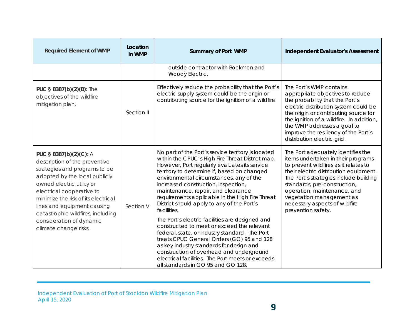| <b>Required Element of WMP</b>                                                                                                                                                                                                                                                                                                                      | Location<br>in WMP | <b>Summary of Port WMP</b>                                                                                                                                                                                                                                                                                                                                                                                                                                                                                                                                                                                                                                                                                                                                                                                                        | <b>Independent Evaluator's Assessment</b>                                                                                                                                                                                                                                                                                                               |
|-----------------------------------------------------------------------------------------------------------------------------------------------------------------------------------------------------------------------------------------------------------------------------------------------------------------------------------------------------|--------------------|-----------------------------------------------------------------------------------------------------------------------------------------------------------------------------------------------------------------------------------------------------------------------------------------------------------------------------------------------------------------------------------------------------------------------------------------------------------------------------------------------------------------------------------------------------------------------------------------------------------------------------------------------------------------------------------------------------------------------------------------------------------------------------------------------------------------------------------|---------------------------------------------------------------------------------------------------------------------------------------------------------------------------------------------------------------------------------------------------------------------------------------------------------------------------------------------------------|
|                                                                                                                                                                                                                                                                                                                                                     |                    | outside contractor with Bockmon and<br>Woody Electric.                                                                                                                                                                                                                                                                                                                                                                                                                                                                                                                                                                                                                                                                                                                                                                            |                                                                                                                                                                                                                                                                                                                                                         |
| PUC § 8387(b)(2)(B): The<br>objectives of the wildfire<br>mitigation plan.                                                                                                                                                                                                                                                                          | Section II         | Effectively reduce the probability that the Port's<br>electric supply system could be the origin or<br>contributing source for the ignition of a wildfire                                                                                                                                                                                                                                                                                                                                                                                                                                                                                                                                                                                                                                                                         | The Port's WMP contains<br>appropriate objectives to reduce<br>the probability that the Port's<br>electric distribution system could be<br>the origin or contributing source for<br>the ignition of a wildfire. In addition,<br>the WMP addresses a goal to<br>improve the resiliency of the Port's<br>distribution electric grid.                      |
| PUC § 8387(b)(2)(C): A<br>description of the preventive<br>strategies and programs to be<br>adopted by the local publicly<br>owned electric utility or<br>electrical cooperative to<br>minimize the risk of its electrical<br>lines and equipment causing<br>catastrophic wildfires, including<br>consideration of dynamic<br>climate change risks. | Section V          | No part of the Port's service territory is located<br>within the CPUC's High Fire Threat District map.<br>However, Port regularly evaluates its service<br>territory to determine if, based on changed<br>environmental circumstances, any of the<br>increased construction, inspection,<br>maintenance, repair, and clearance<br>requirements applicable in the High Fire Threat<br>District should apply to any of the Port's<br>facilities.<br>The Port's electric facilities are designed and<br>constructed to meet or exceed the relevant<br>federal, state, or industry standard. The Port<br>treats CPUC General Orders (GO) 95 and 128<br>as key industry standards for design and<br>construction of overhead and underground<br>electrical facilities. The Port meets or exceeds<br>all standards in GO 95 and GO 128. | The Port adequately identifies the<br>items undertaken in their programs<br>to prevent wildfires as it relates to<br>their electric distribution equipment.<br>The Port's strategies include building<br>standards, pre-construction,<br>operation, maintenance, and<br>vegetation management as<br>necessary aspects of wildfire<br>prevention safety. |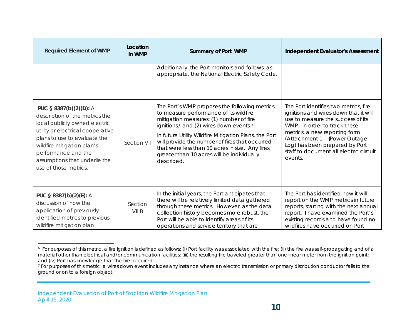<span id="page-11-1"></span><span id="page-11-0"></span>

| <b>Required Element of WMP</b>                                                                                                                                                                                                                                                | Location<br>in WMP | <b>Summary of Port WMP</b>                                                                                                                                                                                                                                                                                                                                                                                                      | <b>Independent Evaluator's Assessment</b>                                                                                                                                                                                                                                                                    |
|-------------------------------------------------------------------------------------------------------------------------------------------------------------------------------------------------------------------------------------------------------------------------------|--------------------|---------------------------------------------------------------------------------------------------------------------------------------------------------------------------------------------------------------------------------------------------------------------------------------------------------------------------------------------------------------------------------------------------------------------------------|--------------------------------------------------------------------------------------------------------------------------------------------------------------------------------------------------------------------------------------------------------------------------------------------------------------|
|                                                                                                                                                                                                                                                                               |                    | Additionally, the Port monitors and follows, as<br>appropriate, the National Electric Safety Code.                                                                                                                                                                                                                                                                                                                              |                                                                                                                                                                                                                                                                                                              |
| PUC § 8387(b)(2)(D): A<br>description of the metrics the<br>local publicly owned electric<br>utility or electrical cooperative<br>plans to use to evaluate the<br>wildfire mitigation plan's<br>performance and the<br>assumptions that underlie the<br>use of those metrics. | Section VII        | The Port's WMP proposes the following metrics<br>to measure performance of its wildfire<br>mitigation measures: (1) number of fire<br>ignitions, <sup>6</sup> and (2) wires down events. <sup>7</sup><br>In future Utility Wildfire Mitigation Plans, the Port<br>will provide the number of fires that occurred<br>that were less than 10 acres in size. Any fires<br>greater than 10 acres will be individually<br>described. | The Port identifies two metrics, fire<br>ignitions and wires down that it will<br>use to measure the success of its<br>WMP. In order to track these<br>metrics, a new reporting form<br>(Attachment 1 - {Power Outage<br>Log) has been prepared by Port<br>staff to document all electric circuit<br>events. |
| PUC § 8387(b)(2)(E): A<br>discussion of how the<br>application of previously<br>identified metrics to previous<br>wildfire mitigation plan                                                                                                                                    | Section<br>VII.B   | In the initial years, the Port anticipates that<br>there will be relatively limited data gathered<br>through these metrics. However, as the data<br>collection history becomes more robust, the<br>Port will be able to identify areas of its<br>operations and service territory that are                                                                                                                                      | The Port has identified how it will<br>report on the WMP metrics in future<br>reports, starting with the next annual<br>report. I have examined the Port's<br>existing records and have found no<br>wildfires have occurred on Port                                                                          |

<sup>&</sup>lt;sup>6</sup> For purposes of this metric, a fire ignition is defined as follows: (i) Port facility was associated with the fire; (ii) the fire was self-propagating and of a material other than electrical and/or communication facilities; (iii) the resulting fire traveled greater than one linear meter from the ignition point; and (iv) Port has knowledge that the fire occurred.

<sup>&</sup>lt;sup>7</sup> For purposes of this metric, a wires down event includes any instance where an electric transmission or primary distribution conductor falls to the ground or on to a foreign object.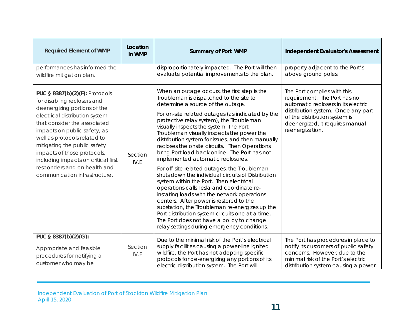| <b>Required Element of WMP</b>                                                                                                                                                                                                                                                                                                                                                                                | Location<br>in WMP | <b>Summary of Port WMP</b>                                                                                                                                                                                                                                                                                                                                                                                                                                                                                                                                                                                                                                                                                                                                                                                                                                                                                                                                                                                 | <b>Independent Evaluator's Assessment</b>                                                                                                                                                                                       |
|---------------------------------------------------------------------------------------------------------------------------------------------------------------------------------------------------------------------------------------------------------------------------------------------------------------------------------------------------------------------------------------------------------------|--------------------|------------------------------------------------------------------------------------------------------------------------------------------------------------------------------------------------------------------------------------------------------------------------------------------------------------------------------------------------------------------------------------------------------------------------------------------------------------------------------------------------------------------------------------------------------------------------------------------------------------------------------------------------------------------------------------------------------------------------------------------------------------------------------------------------------------------------------------------------------------------------------------------------------------------------------------------------------------------------------------------------------------|---------------------------------------------------------------------------------------------------------------------------------------------------------------------------------------------------------------------------------|
| performances has informed the<br>wildfire mitigation plan.                                                                                                                                                                                                                                                                                                                                                    |                    | disproportionately impacted. The Port will then<br>evaluate potential improvements to the plan.                                                                                                                                                                                                                                                                                                                                                                                                                                                                                                                                                                                                                                                                                                                                                                                                                                                                                                            | property adjacent to the Port's<br>above ground poles.                                                                                                                                                                          |
| <b>PUC § 8387(b)(2)(F): Protocols</b><br>for disabling reclosers and<br>deenergizing portions of the<br>electrical distribution system<br>that consider the associated<br>impacts on public safety, as<br>well as protocols related to<br>mitigating the public safety<br>impacts of those protocols,<br>including impacts on critical first<br>responders and on health and<br>communication infrastructure. | Section<br>IV.E    | When an outage occurs, the first step is the<br>Troubleman is dispatched to the site to<br>determine a source of the outage.<br>For on-site related outages (as indicated by the<br>protective relay system), the Troubleman<br>visually inspects the system. The Port<br>Troubleman visually inspects the power the<br>distribution system for issues, and then manually<br>recloses the onsite circuits. Then Operations<br>bring Port load back online. The Port has not<br>implemented automatic reclosures.<br>For off-site related outages, the Troubleman<br>shuts down the individual circuits of Distribution<br>system within the Port. Then electrical<br>operations calls Tesla and coordinate re-<br>instating loads with the network operations<br>centers. After power is restored to the<br>substation, the Troubleman re-energizes up the<br>Port distribution system circuits one at a time.<br>The Port does not have a policy to change<br>relay settings during emergency conditions. | The Port complies with this<br>requirement. The Port has no<br>automatic reclosers in its electric<br>distribution system. Once any part<br>of the distribution system is<br>deenergized, it requires manual<br>reenergization. |
| PUC § 8387(b)(2)(G):<br>Appropriate and feasible<br>procedures for notifying a<br>customer who may be                                                                                                                                                                                                                                                                                                         | Section<br>IV.F    | Due to the minimal risk of the Port's electrical<br>supply facilities causing a power-line ignited<br>wildfire, the Port has not adopting specific<br>protocols for de-energizing any portions of its<br>electric distribution system. The Port will                                                                                                                                                                                                                                                                                                                                                                                                                                                                                                                                                                                                                                                                                                                                                       | The Port has procedures in place to<br>notify its customers of public safety<br>concerns. However, due to the<br>minimal risk of the Port's electric<br>distribution system causing a power-                                    |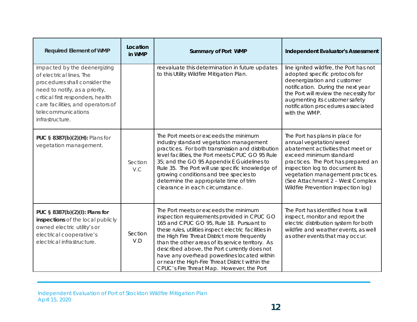| <b>Required Element of WMP</b>                                                                                                                                                                                                                 | Location<br>in WMP | <b>Summary of Port WMP</b>                                                                                                                                                                                                                                                                                                                                                                                                                                                                      | <b>Independent Evaluator's Assessment</b>                                                                                                                                                                                                                                                                         |
|------------------------------------------------------------------------------------------------------------------------------------------------------------------------------------------------------------------------------------------------|--------------------|-------------------------------------------------------------------------------------------------------------------------------------------------------------------------------------------------------------------------------------------------------------------------------------------------------------------------------------------------------------------------------------------------------------------------------------------------------------------------------------------------|-------------------------------------------------------------------------------------------------------------------------------------------------------------------------------------------------------------------------------------------------------------------------------------------------------------------|
| impacted by the deenergizing<br>of electrical lines. The<br>procedures shall consider the<br>need to notify, as a priority,<br>critical first responders, health<br>care facilities, and operators of<br>telecommunications<br>infrastructure. |                    | reevaluate this determination in future updates<br>to this Utility Wildfire Mitigation Plan.                                                                                                                                                                                                                                                                                                                                                                                                    | line ignited wildfire, the Port has not<br>adopted specific protocols for<br>deenergization and customer<br>notification. During the next year<br>the Port will review the necessity for<br>augmenting its customer safety<br>notification procedures associated<br>with the WMP.                                 |
| PUC § 8387(b)(2)(H): Plans for<br>vegetation management.                                                                                                                                                                                       | Section<br>V.C     | The Port meets or exceeds the minimum<br>industry standard vegetation management<br>practices. For both transmission and distribution<br>level facilities, the Port meets CPUC GO 95 Rule<br>35; and the GO 95 Appendix E Guidelines to<br>Rule 35. The Port will use specific knowledge of<br>growing conditions and tree species to<br>determine the appropriate time of trim<br>clearance in each circumstance.                                                                              | The Port has plans in place for<br>annual vegetation/weed<br>abatement activities that meet or<br>exceed minimum standard<br>practices. The Port has prepared an<br>inspection log to document its<br>vegetation management practices.<br>(See Attachment 2 - West Complex<br>Wildfire Prevention Inspection log) |
| PUC § 8387(b)(2)(l): Plans for<br>inspections of the local publicly<br>owned electric utility's or<br>electrical cooperative's<br>electrical infrastructure.                                                                                   | Section<br>V.D     | The Port meets or exceeds the minimum<br>inspection requirements provided in CPUC GO<br>165 and CPUC GO 95, Rule 18. Pursuant to<br>these rules, utilities inspect electric facilities in<br>the High Fire Threat District more frequently<br>than the other areas of its service territory. As<br>described above, the Port currently does not<br>have any overhead powerlines located within<br>or near the High-Fire Threat District within the<br>CPUC's Fire Threat Map. However, the Port | The Port has identified how it will<br>inspect, monitor and report the<br>electric distribution system for both<br>wildfire and weather events, as well<br>as other events that may occur.                                                                                                                        |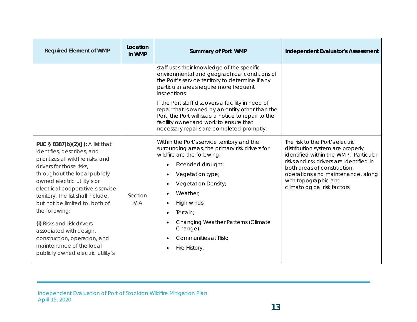| <b>Required Element of WMP</b>                                                                                                                                                                                                                                                                                                                                                                                                                                                            | Location<br>in WMP | <b>Summary of Port WMP</b>                                                                                                                                                                                                                                                                                                                                                                                                                                      | <b>Independent Evaluator's Assessment</b>                                                                                                                                                                                                                                            |
|-------------------------------------------------------------------------------------------------------------------------------------------------------------------------------------------------------------------------------------------------------------------------------------------------------------------------------------------------------------------------------------------------------------------------------------------------------------------------------------------|--------------------|-----------------------------------------------------------------------------------------------------------------------------------------------------------------------------------------------------------------------------------------------------------------------------------------------------------------------------------------------------------------------------------------------------------------------------------------------------------------|--------------------------------------------------------------------------------------------------------------------------------------------------------------------------------------------------------------------------------------------------------------------------------------|
|                                                                                                                                                                                                                                                                                                                                                                                                                                                                                           |                    | staff uses their knowledge of the specific<br>environmental and geographical conditions of<br>the Port's service territory to determine if any<br>particular areas require more frequent<br>inspections.<br>If the Port staff discovers a facility in need of<br>repair that is owned by an entity other than the<br>Port, the Port will issue a notice to repair to the<br>facility owner and work to ensure that<br>necessary repairs are completed promptly. |                                                                                                                                                                                                                                                                                      |
| PUC § 8387(b)(2)(J): A list that<br>identifies, describes, and<br>prioritizes all wildfire risks, and<br>drivers for those risks,<br>throughout the local publicly<br>owned electric utility's or<br>electrical cooperative's service<br>territory. The list shall include,<br>but not be limited to, both of<br>the following:<br>(i) Risks and risk drivers<br>associated with design,<br>construction, operation, and<br>maintenance of the local<br>publicly owned electric utility's | Section<br>IV.A    | Within the Port's service territory and the<br>surrounding areas, the primary risk drivers for<br>wildfire are the following:<br>Extended drought;<br>Vegetation type;<br>Vegetation Density;<br>Weather:<br>High winds;<br>$\bullet$<br>Terrain:<br>Changing Weather Patterns (Climate<br>Change);<br>Communities at Risk;<br>Fire History.                                                                                                                    | The risk to the Port's electric<br>distribution system are properly<br>identified within the WMP. Particular<br>risks and risk drivers are identified in<br>both areas of construction,<br>operations and maintenance, along<br>with topographic and<br>climatological risk factors. |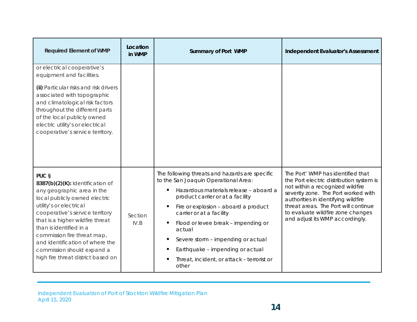| <b>Required Element of WMP</b>                                                                                                                                                                                                                                                                                                                                              | Location<br>in WMP | <b>Summary of Port WMP</b>                                                                                                                                                                                                                                                                                                                                                                                                      | <b>Independent Evaluator's Assessment</b>                                                                                                                                                                                                                                                                       |
|-----------------------------------------------------------------------------------------------------------------------------------------------------------------------------------------------------------------------------------------------------------------------------------------------------------------------------------------------------------------------------|--------------------|---------------------------------------------------------------------------------------------------------------------------------------------------------------------------------------------------------------------------------------------------------------------------------------------------------------------------------------------------------------------------------------------------------------------------------|-----------------------------------------------------------------------------------------------------------------------------------------------------------------------------------------------------------------------------------------------------------------------------------------------------------------|
| or electrical cooperative's<br>equipment and facilities.<br>(ii) Particular risks and risk drivers<br>associated with topographic<br>and climatological risk factors<br>throughout the different parts<br>of the local publicly owned<br>electric utility's or electrical<br>cooperative's service territory.                                                               |                    |                                                                                                                                                                                                                                                                                                                                                                                                                                 |                                                                                                                                                                                                                                                                                                                 |
| PUC §<br>8387(b)(2)(K): Identification of<br>any geographic area in the<br>local publicly owned electric<br>utility's or electrical<br>cooperative's service territory<br>that is a higher wildfire threat<br>than is identified in a<br>commission fire threat map,<br>and identification of where the<br>commission should expand a<br>high fire threat district based on | Section<br>IV.B    | The following threats and hazards are specific<br>to the San Joaquin Operational Area:<br>Hazardous materials release - aboard a<br>product carrier or at a facility<br>Fire or explosion - aboard a product<br>carrier or at a facility<br>Flood or levee break - impending or<br>actual<br>Severe storm - impending or actual<br>٠<br>Earthquake - impending or actual<br>Threat, incident, or attack - terrorist or<br>other | The Port' WMP has identified that<br>the Port electric distribution system is<br>not within a recognized wildfire<br>severity zone. The Port worked with<br>authorities in identifying wildfire<br>threat areas. The Port will continue<br>to evaluate wildfire zone changes<br>and adjust its WMP accordingly. |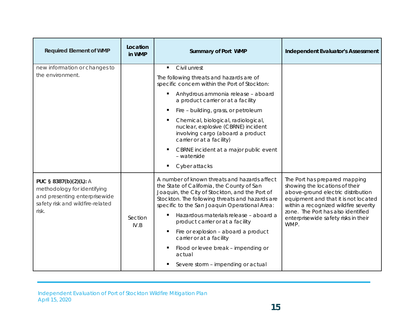| <b>Required Element of WMP</b>                                                                                                      | Location<br>in WMP | <b>Summary of Port WMP</b>                                                                                                                                                                                                                                                                                                                                                                                                                                                                                      | <b>Independent Evaluator's Assessment</b>                                                                                                                                                                                                                                    |
|-------------------------------------------------------------------------------------------------------------------------------------|--------------------|-----------------------------------------------------------------------------------------------------------------------------------------------------------------------------------------------------------------------------------------------------------------------------------------------------------------------------------------------------------------------------------------------------------------------------------------------------------------------------------------------------------------|------------------------------------------------------------------------------------------------------------------------------------------------------------------------------------------------------------------------------------------------------------------------------|
| new information or changes to<br>the environment.                                                                                   |                    | Civil unrest<br>$\blacksquare$<br>The following threats and hazards are of<br>specific concern within the Port of Stockton:<br>Anhydrous ammonia release - aboard<br>a product carrier or at a facility<br>Fire - building, grass, or petroleum<br>Chemical, biological, radiological,<br>nuclear, explosive (CBRNE) incident<br>involving cargo (aboard a product<br>carrier or at a facility)<br>CBRNE incident at a major public event<br>- waterside                                                        |                                                                                                                                                                                                                                                                              |
| PUC § 8387(b)(2)(L): A<br>methodology for identifying<br>and presenting enterprisewide<br>safety risk and wildfire-related<br>risk. | Section<br>IV.B    | Cyber attacks<br>A number of known threats and hazards affect<br>the State of California, the County of San<br>Joaquin, the City of Stockton, and the Port of<br>Stockton. The following threats and hazards are<br>specific to the San Joaquin Operational Area:<br>Hazardous materials release - aboard a<br>٠<br>product carrier or at a facility<br>Fire or explosion - aboard a product<br>carrier or at a facility<br>Flood or levee break - impending or<br>actual<br>Severe storm - impending or actual | The Port has prepared mapping<br>showing the locations of their<br>above-ground electric distribution<br>equipment and that it is not located<br>within a recognized wildfire severity<br>zone. The Port has also identified<br>enterprisewide safety risks in their<br>WMP. |

Independent Evaluation of Port of Stockton Wildfire Mitigation Plan April 15, 2020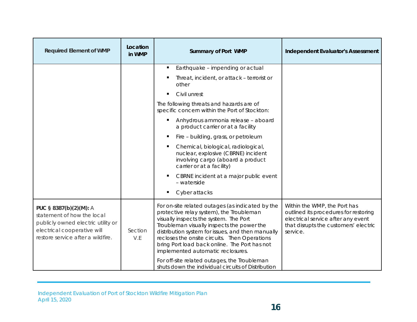| <b>Required Element of WMP</b>                                                                                                                                 | Location<br>in WMP | <b>Summary of Port WMP</b>                                                                                                                                                                                                                                                                                                                                                       | <b>Independent Evaluator's Assessment</b>                                                                                                                        |
|----------------------------------------------------------------------------------------------------------------------------------------------------------------|--------------------|----------------------------------------------------------------------------------------------------------------------------------------------------------------------------------------------------------------------------------------------------------------------------------------------------------------------------------------------------------------------------------|------------------------------------------------------------------------------------------------------------------------------------------------------------------|
|                                                                                                                                                                |                    | Earthquake - impending or actual                                                                                                                                                                                                                                                                                                                                                 |                                                                                                                                                                  |
|                                                                                                                                                                |                    | Threat, incident, or attack - terrorist or<br>other                                                                                                                                                                                                                                                                                                                              |                                                                                                                                                                  |
|                                                                                                                                                                |                    | Civil unrest                                                                                                                                                                                                                                                                                                                                                                     |                                                                                                                                                                  |
|                                                                                                                                                                |                    | The following threats and hazards are of<br>specific concern within the Port of Stockton:                                                                                                                                                                                                                                                                                        |                                                                                                                                                                  |
|                                                                                                                                                                |                    | Anhydrous ammonia release - aboard<br>a product carrier or at a facility                                                                                                                                                                                                                                                                                                         |                                                                                                                                                                  |
|                                                                                                                                                                |                    | Fire - building, grass, or petroleum                                                                                                                                                                                                                                                                                                                                             |                                                                                                                                                                  |
|                                                                                                                                                                |                    | Chemical, biological, radiological,<br>nuclear, explosive (CBRNE) incident<br>involving cargo (aboard a product<br>carrier or at a facility)                                                                                                                                                                                                                                     |                                                                                                                                                                  |
|                                                                                                                                                                |                    | CBRNE incident at a major public event<br>- waterside                                                                                                                                                                                                                                                                                                                            |                                                                                                                                                                  |
|                                                                                                                                                                |                    | Cyber attacks                                                                                                                                                                                                                                                                                                                                                                    |                                                                                                                                                                  |
| PUC § 8387(b)(2)(M): A<br>statement of how the local<br>publicly owned electric utility or<br>electrical cooperative will<br>restore service after a wildfire. | Section<br>V.E     | For on-site related outages (as indicated by the<br>protective relay system), the Troubleman<br>visually inspects the system. The Port<br>Troubleman visually inspects the power the<br>distribution system for issues, and then manually<br>recloses the onsite circuits. Then Operations<br>bring Port load back online. The Port has not<br>implemented automatic reclosures. | Within the WMP, the Port has<br>outlined its procedures for restoring<br>electrical service after any event<br>that disrupts the customers' electric<br>service. |
|                                                                                                                                                                |                    | For off-site related outages, the Troubleman<br>shuts down the individual circuits of Distribution                                                                                                                                                                                                                                                                               |                                                                                                                                                                  |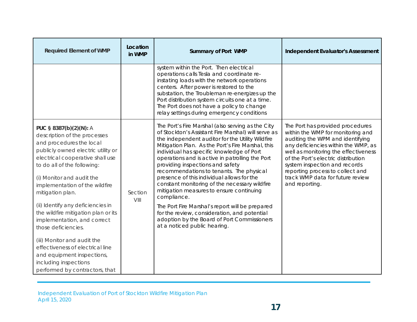| <b>Required Element of WMP</b>                                                                                                                                                                                                                                                                                                                                                                                                                                                                                                                                               | Location<br>in WMP | <b>Summary of Port WMP</b>                                                                                                                                                                                                                                                                                                                                                                                                                                                                                                                                                                                                                                                                                                                    | <b>Independent Evaluator's Assessment</b>                                                                                                                                                                                                                                                                                                                  |
|------------------------------------------------------------------------------------------------------------------------------------------------------------------------------------------------------------------------------------------------------------------------------------------------------------------------------------------------------------------------------------------------------------------------------------------------------------------------------------------------------------------------------------------------------------------------------|--------------------|-----------------------------------------------------------------------------------------------------------------------------------------------------------------------------------------------------------------------------------------------------------------------------------------------------------------------------------------------------------------------------------------------------------------------------------------------------------------------------------------------------------------------------------------------------------------------------------------------------------------------------------------------------------------------------------------------------------------------------------------------|------------------------------------------------------------------------------------------------------------------------------------------------------------------------------------------------------------------------------------------------------------------------------------------------------------------------------------------------------------|
|                                                                                                                                                                                                                                                                                                                                                                                                                                                                                                                                                                              |                    | system within the Port. Then electrical<br>operations calls Tesla and coordinate re-<br>instating loads with the network operations<br>centers. After power is restored to the<br>substation, the Troubleman re-energizes up the<br>Port distribution system circuits one at a time.<br>The Port does not have a policy to change<br>relay settings during emergency conditions                                                                                                                                                                                                                                                                                                                                                               |                                                                                                                                                                                                                                                                                                                                                            |
| PUC § 8387(b)(2)(N): A<br>description of the processes<br>and procedures the local<br>publicly owned electric utility or<br>electrical cooperative shall use<br>to do all of the following:<br>(i) Monitor and audit the<br>implementation of the wildfire<br>mitigation plan.<br>(ii) Identify any deficiencies in<br>the wildfire mitigation plan or its<br>implementation, and correct<br>those deficiencies.<br>(iii) Monitor and audit the<br>effectiveness of electrical line<br>and equipment inspections,<br>including inspections<br>performed by contractors, that | Section<br>VIII    | The Port's Fire Marshal (also serving as the City<br>of Stockton's Assistant Fire Marshal) will serve as<br>the independent auditor for the Utility Wildfire<br>Mitigation Plan. As the Port's Fire Marshal, this<br>individual has specific knowledge of Port<br>operations and is active in patrolling the Port<br>providing inspections and safety<br>recommendations to tenants. The physical<br>presence of this individual allows for the<br>constant monitoring of the necessary wildfire<br>mitigation measures to ensure continuing<br>compliance.<br>The Port Fire Marshal's report will be prepared<br>for the review, consideration, and potential<br>adoption by the Board of Port Commissioners<br>at a noticed public hearing. | The Port has provided procedures<br>within the WMP for monitoring and<br>auditing the WPM and identifying<br>any deficiencies within the WMP, as<br>well as monitoring the effectiveness<br>of the Port's electric distribution<br>system inspection and records<br>reporting process to collect and<br>track WMP data for future review<br>and reporting. |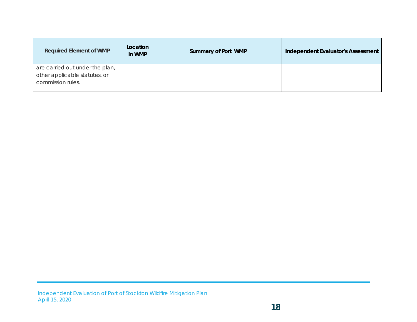| <b>Required Element of WMP</b>                                                        | Location<br>in WMP | Summary of Port WMP | Independent Evaluator's Assessment |
|---------------------------------------------------------------------------------------|--------------------|---------------------|------------------------------------|
| are carried out under the plan,<br>other applicable statutes, or<br>commission rules. |                    |                     |                                    |